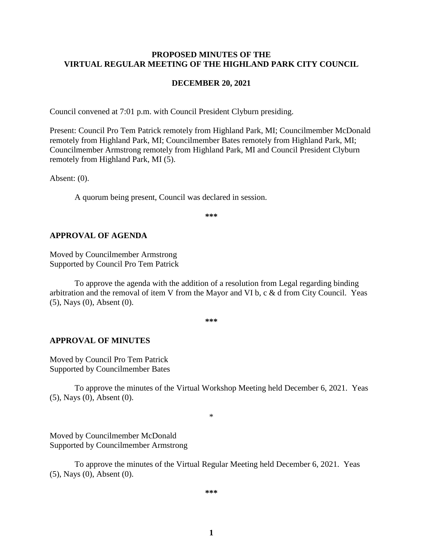#### **PROPOSED MINUTES OF THE VIRTUAL REGULAR MEETING OF THE HIGHLAND PARK CITY COUNCIL**

#### **DECEMBER 20, 2021**

Council convened at 7:01 p.m. with Council President Clyburn presiding.

Present: Council Pro Tem Patrick remotely from Highland Park, MI; Councilmember McDonald remotely from Highland Park, MI; Councilmember Bates remotely from Highland Park, MI; Councilmember Armstrong remotely from Highland Park, MI and Council President Clyburn remotely from Highland Park, MI (5).

Absent: (0).

A quorum being present, Council was declared in session.

**\*\*\***

#### **APPROVAL OF AGENDA**

Moved by Councilmember Armstrong Supported by Council Pro Tem Patrick

To approve the agenda with the addition of a resolution from Legal regarding binding arbitration and the removal of item V from the Mayor and VI b, c & d from City Council. Yeas (5), Nays (0), Absent (0).

**\*\*\***

#### **APPROVAL OF MINUTES**

Moved by Council Pro Tem Patrick Supported by Councilmember Bates

To approve the minutes of the Virtual Workshop Meeting held December 6, 2021.Yeas (5), Nays (0), Absent (0).

\*

Moved by Councilmember McDonald Supported by Councilmember Armstrong

To approve the minutes of the Virtual Regular Meeting held December 6, 2021.Yeas (5), Nays (0), Absent (0).

**\*\*\***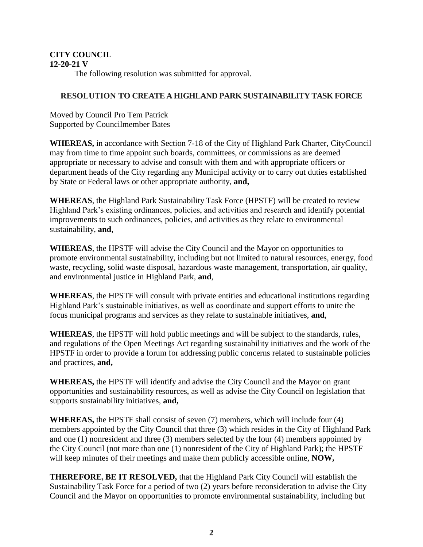#### **CITY COUNCIL 12-20-21 V**

The following resolution was submitted for approval.

## **RESOLUTION TO CREATE A HIGHLAND PARK SUSTAINABILITY TASK FORCE**

Moved by Council Pro Tem Patrick Supported by Councilmember Bates

**WHEREAS,** in accordance with Section 7-18 of the City of Highland Park Charter, CityCouncil may from time to time appoint such boards, committees, or commissions as are deemed appropriate or necessary to advise and consult with them and with appropriate officers or department heads of the City regarding any Municipal activity or to carry out duties established by State or Federal laws or other appropriate authority, **and,**

**WHEREAS**, the Highland Park Sustainability Task Force (HPSTF) will be created to review Highland Park's existing ordinances, policies, and activities and research and identify potential improvements to such ordinances, policies, and activities as they relate to environmental sustainability, **and**,

**WHEREAS**, the HPSTF will advise the City Council and the Mayor on opportunities to promote environmental sustainability, including but not limited to natural resources, energy, food waste, recycling, solid waste disposal, hazardous waste management, transportation, air quality, and environmental justice in Highland Park, **and**,

**WHEREAS**, the HPSTF will consult with private entities and educational institutions regarding Highland Park's sustainable initiatives, as well as coordinate and support efforts to unite the focus municipal programs and services as they relate to sustainable initiatives, **and**,

**WHEREAS**, the HPSTF will hold public meetings and will be subject to the standards, rules, and regulations of the Open Meetings Act regarding sustainability initiatives and the work of the HPSTF in order to provide a forum for addressing public concerns related to sustainable policies and practices, **and,**

**WHEREAS,** the HPSTF will identify and advise the City Council and the Mayor on grant opportunities and sustainability resources, as well as advise the City Council on legislation that supports sustainability initiatives, **and,**

**WHEREAS,** the HPSTF shall consist of seven (7) members, which will include four (4) members appointed by the City Council that three (3) which resides in the City of Highland Park and one (1) nonresident and three (3) members selected by the four (4) members appointed by the City Council (not more than one (1) nonresident of the City of Highland Park); the HPSTF will keep minutes of their meetings and make them publicly accessible online, **NOW,**

**THEREFORE, BE IT RESOLVED,** that the Highland Park City Council will establish the Sustainability Task Force for a period of two (2) years before reconsideration to advise the City Council and the Mayor on opportunities to promote environmental sustainability, including but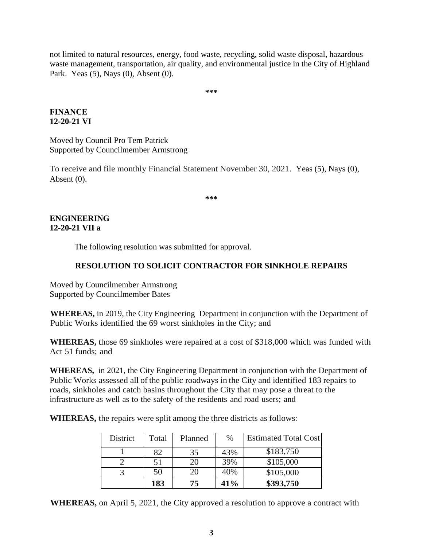not limited to natural resources, energy, food waste, recycling, solid waste disposal, hazardous waste management, transportation, air quality, and environmental justice in the City of Highland Park. Yeas (5), Nays (0), Absent (0).

**\*\*\***

## **FINANCE 12-20-21 VI**

Moved by Council Pro Tem Patrick Supported by Councilmember Armstrong

To receive and file monthly Financial Statement November 30, 2021. Yeas (5), Nays (0), Absent (0).

**\*\*\***

## **ENGINEERING 12-20-21 VII a**

The following resolution was submitted for approval.

# **RESOLUTION TO SOLICIT CONTRACTOR FOR SINKHOLE REPAIRS**

Moved by Councilmember Armstrong Supported by Councilmember Bates

**WHEREAS,** in 2019, the City Engineering Department in conjunction with the Department of Public Works identified the 69 worst sinkholes in the City; and

**WHEREAS,** those 69 sinkholes were repaired at a cost of \$318,000 which was funded with Act 51 funds; and

**WHEREAS,** in 2021, the City Engineering Department in conjunction with the Department of Public Works assessed all of the public roadways in the City and identified 183 repairs to roads, sinkholes and catch basins throughout the City that may pose a threat to the infrastructure as well as to the safety of the residents and road users; and

**WHEREAS,** the repairs were split among the three districts as follows:

| District | Total | Planned | $\%$ | <b>Estimated Total Cost</b> |
|----------|-------|---------|------|-----------------------------|
|          | 82    | 35      | 43%  | \$183,750                   |
|          | 51    | 20      | 39%  | \$105,000                   |
|          | 50    | 20      | 40%  | \$105,000                   |
|          | 183   | 75      | 41%  | \$393,750                   |

**WHEREAS,** on April 5, 2021, the City approved a resolution to approve a contract with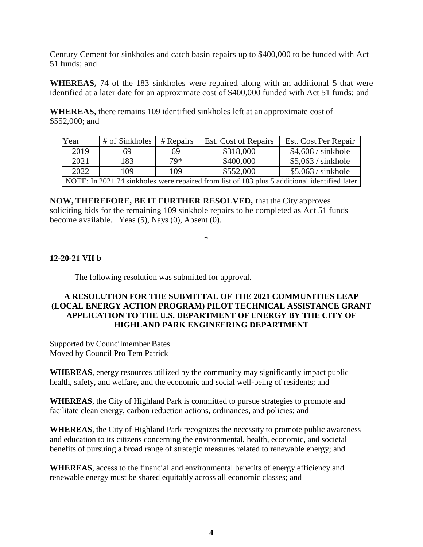Century Cement for sinkholes and catch basin repairs up to \$400,000 to be funded with Act 51 funds; and

**WHEREAS,** 74 of the 183 sinkholes were repaired along with an additional 5 that were identified at a later date for an approximate cost of \$400,000 funded with Act 51 funds; and

**WHEREAS,** there remains 109 identified sinkholes left at an approximate cost of \$552,000; and

| Year                                                                                         | # of Sinkholes | $#$ Repairs | Est. Cost of Repairs | Est. Cost Per Repair |  |  |
|----------------------------------------------------------------------------------------------|----------------|-------------|----------------------|----------------------|--|--|
| 2019                                                                                         | 69             | 69          | \$318,000            | $$4,608 /$ sinkhole  |  |  |
| 2021                                                                                         | 183            | $79*$       | \$400,000            | \$5,063 / sinkhole   |  |  |
| 2022                                                                                         | 109            | 109         | \$552,000            | $$5,063 /$ sinkhole  |  |  |
| NOTE: In 2021 74 sinkholes were repaired from list of 183 plus 5 additional identified later |                |             |                      |                      |  |  |

**NOW, THEREFORE, BE IT FURTHER RESOLVED,** that the City approves soliciting bids for the remaining 109 sinkhole repairs to be completed as Act 51 funds become available. Yeas (5), Nays (0), Absent (0).

\*

# **12-20-21 VII b**

The following resolution was submitted for approval.

### **A RESOLUTION FOR THE SUBMITTAL OF THE 2021 COMMUNITIES LEAP (LOCAL ENERGY ACTION PROGRAM) PILOT TECHNICAL ASSISTANCE GRANT APPLICATION TO THE U.S. DEPARTMENT OF ENERGY BY THE CITY OF HIGHLAND PARK ENGINEERING DEPARTMENT**

Supported by Councilmember Bates Moved by Council Pro Tem Patrick

**WHEREAS**, energy resources utilized by the community may significantly impact public health, safety, and welfare, and the economic and social well-being of residents; and

**WHEREAS**, the City of Highland Park is committed to pursue strategies to promote and facilitate clean energy, carbon reduction actions, ordinances, and policies; and

**WHEREAS**, the City of Highland Park recognizes the necessity to promote public awareness and education to its citizens concerning the environmental, health, economic, and societal benefits of pursuing a broad range of strategic measures related to renewable energy; and

**WHEREAS**, access to the financial and environmental benefits of energy efficiency and renewable energy must be shared equitably across all economic classes; and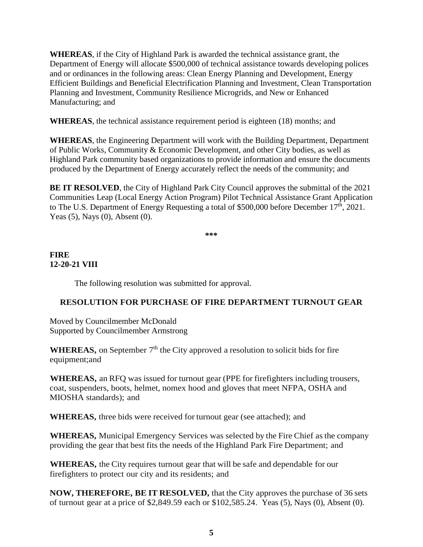**WHEREAS**, if the City of Highland Park is awarded the technical assistance grant, the Department of Energy will allocate \$500,000 of technical assistance towards developing polices and or ordinances in the following areas: Clean Energy Planning and Development, Energy Efficient Buildings and Beneficial Electrification Planning and Investment, Clean Transportation Planning and Investment, Community Resilience Microgrids, and New or Enhanced Manufacturing; and

**WHEREAS**, the technical assistance requirement period is eighteen (18) months; and

**WHEREAS**, the Engineering Department will work with the Building Department, Department of Public Works, Community & Economic Development, and other City bodies, as well as Highland Park community based organizations to provide information and ensure the documents produced by the Department of Energy accurately reflect the needs of the community; and

**BE IT RESOLVED**, the City of Highland Park City Council approves the submittal of the 2021 Communities Leap (Local Energy Action Program) Pilot Technical Assistance Grant Application to The U.S. Department of Energy Requesting a total of \$500,000 before December 17<sup>th</sup>, 2021. Yeas (5), Nays (0), Absent (0).

**\*\*\***

# **FIRE 12-20-21 VIII**

The following resolution was submitted for approval.

## **RESOLUTION FOR PURCHASE OF FIRE DEPARTMENT TURNOUT GEAR**

Moved by Councilmember McDonald Supported by Councilmember Armstrong

**WHEREAS**, on September  $7<sup>th</sup>$  the City approved a resolution to solicit bids for fire equipment;and

**WHEREAS,** an RFQ was issued for turnout gear (PPE for firefighters including trousers, coat, suspenders, boots, helmet, nomex hood and gloves that meet NFPA, OSHA and MIOSHA standards); and

**WHEREAS,** three bids were received for turnout gear (see attached); and

**WHEREAS,** Municipal Emergency Services was selected by the Fire Chief asthe company providing the gear that best fits the needs of the Highland Park Fire Department; and

**WHEREAS,** the City requires turnout gear that will be safe and dependable for our firefighters to protect our city and its residents; and

**NOW, THEREFORE, BE IT RESOLVED,** that the City approves the purchase of 36 sets of turnout gear at a price of \$2,849.59 each or \$102,585.24. Yeas (5), Nays (0), Absent (0).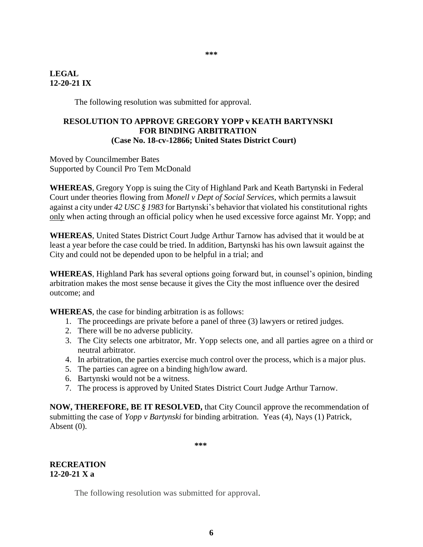#### **\*\*\***

#### **LEGAL 12-20-21 IX**

The following resolution was submitted for approval.

#### **RESOLUTION TO APPROVE GREGORY YOPP v KEATH BARTYNSKI FOR BINDING ARBITRATION (Case No. 18-cv-12866; United States District Court)**

Moved by Councilmember Bates Supported by Council Pro Tem McDonald

**WHEREAS**, Gregory Yopp is suing the City of Highland Park and Keath Bartynski in Federal Court under theories flowing from *Monell v Dept of Social Services,* which permits a lawsuit against a city under *42 USC § 1983* for Bartynski's behavior that violated his constitutional rights only when acting through an official policy when he used excessive force against Mr. Yopp; and

**WHEREAS**, United States District Court Judge Arthur Tarnow has advised that it would be at least a year before the case could be tried. In addition, Bartynski has his own lawsuit against the City and could not be depended upon to be helpful in a trial; and

**WHEREAS**, Highland Park has several options going forward but, in counsel's opinion, binding arbitration makes the most sense because it gives the City the most influence over the desired outcome; and

**WHEREAS**, the case for binding arbitration is as follows:

- 1. The proceedings are private before a panel of three (3) lawyers or retired judges.
- 2. There will be no adverse publicity.
- 3. The City selects one arbitrator, Mr. Yopp selects one, and all parties agree on a third or neutral arbitrator.
- 4. In arbitration, the parties exercise much control over the process, which is a major plus.
- 5. The parties can agree on a binding high/low award.
- 6. Bartynski would not be a witness.
- 7. The process is approved by United States District Court Judge Arthur Tarnow.

**NOW, THEREFORE, BE IT RESOLVED,** that City Council approve the recommendation of submitting the case of *Yopp v Bartynski* for binding arbitration. Yeas (4), Nays (1) Patrick, Absent (0).

**\*\*\***

**RECREATION 12-20-21 X a**

The following resolution was submitted for approval.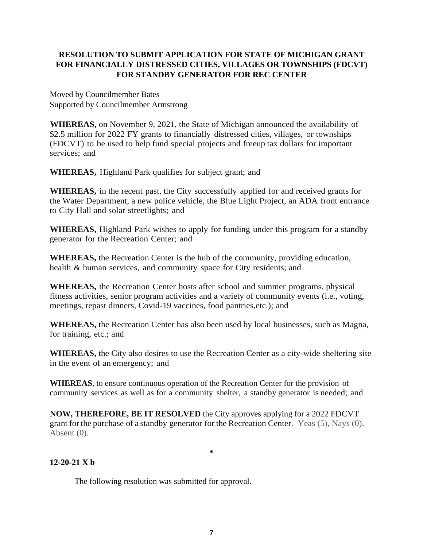# **RESOLUTION TO SUBMIT APPLICATION FOR STATE OF MICHIGAN GRANT FOR FINANCIALLY DISTRESSED CITIES, VILLAGES OR TOWNSHIPS (FDCVT) FOR STANDBY GENERATOR FOR REC CENTER**

Moved by Councilmember Bates Supported by Councilmember Armstrong

**WHEREAS,** on November 9, 2021, the State of Michigan announced the availability of \$2.5 million for 2022 FY grants to financially distressed cities, villages, or townships (FDCVT) to be used to help fund special projects and freeup tax dollars for important services; and

**WHEREAS,** Highland Park qualifies for subject grant; and

**WHEREAS,** in the recent past, the City successfully applied for and received grants for the Water Department, a new police vehicle, the Blue Light Project, an ADA front entrance to City Hall and solar streetlights; and

**WHEREAS,** Highland Park wishes to apply for funding under this program for a standby generator for the Recreation Center; and

**WHEREAS,** the Recreation Center is the hub of the community, providing education, health & human services, and community space for City residents; and

**WHEREAS,** the Recreation Center hosts after school and summer programs, physical fitness activities, senior program activities and a variety of community events (i.e., voting, meetings, repast dinners, Covid-19 vaccines, food pantries,etc.); and

**WHEREAS,** the Recreation Center has also been used by local businesses, such as Magna, for training, etc.; and

**WHEREAS,** the City also desires to use the Recreation Center as a city-wide sheltering site in the event of an emergency; and

**WHEREAS**, to ensure continuous operation of the Recreation Center for the provision of community services as well as for a community shelter, a standby generator is needed; and

**NOW, THEREFORE, BE IT RESOLVED** the City approves applying for a 2022 FDCVT grant for the purchase of a standby generator for the Recreation Center. Yeas (5), Nays (0), Absent (0).

**\***

## **12-20-21 X b**

The following resolution was submitted for approval.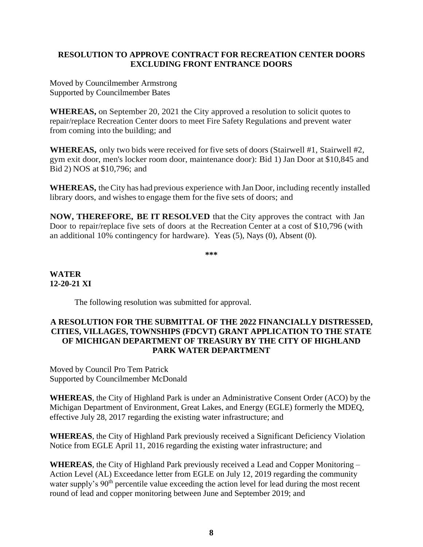#### **RESOLUTION TO APPROVE CONTRACT FOR RECREATION CENTER DOORS EXCLUDING FRONT ENTRANCE DOORS**

Moved by Councilmember Armstrong Supported by Councilmember Bates

**WHEREAS,** on September 20, 2021 the City approved a resolution to solicit quotes to repair/replace Recreation Center doors to meet Fire Safety Regulations and prevent water from coming into the building; and

**WHEREAS,** only two bids were received for five sets of doors (Stairwell #1, Stairwell #2, gym exit door, men's locker room door, maintenance door): Bid 1) Jan Door at \$10,845 and Bid 2) NOS at \$10,796; and

**WHEREAS,** theCity has had previous experience with Jan Door, including recently installed library doors, and wishes to engage them for the five sets of doors; and

**NOW, THEREFORE, BE IT RESOLVED** that the City approves the contract with Jan Door to repair/replace five sets of doors at the Recreation Center at a cost of \$10,796 (with an additional 10% contingency for hardware). Yeas (5), Nays (0), Absent (0).

**\*\*\***

# **WATER 12-20-21 XI**

The following resolution was submitted for approval.

### **A RESOLUTION FOR THE SUBMITTAL OF THE 2022 FINANCIALLY DISTRESSED, CITIES, VILLAGES, TOWNSHIPS (FDCVT) GRANT APPLICATION TO THE STATE OF MICHIGAN DEPARTMENT OF TREASURY BY THE CITY OF HIGHLAND PARK WATER DEPARTMENT**

Moved by Council Pro Tem Patrick Supported by Councilmember McDonald

**WHEREAS**, the City of Highland Park is under an Administrative Consent Order (ACO) by the Michigan Department of Environment, Great Lakes, and Energy (EGLE) formerly the MDEQ, effective July 28, 2017 regarding the existing water infrastructure; and

**WHEREAS**, the City of Highland Park previously received a Significant Deficiency Violation Notice from EGLE April 11, 2016 regarding the existing water infrastructure; and

**WHEREAS**, the City of Highland Park previously received a Lead and Copper Monitoring – Action Level (AL) Exceedance letter from EGLE on July 12, 2019 regarding the community water supply's 90<sup>th</sup> percentile value exceeding the action level for lead during the most recent round of lead and copper monitoring between June and September 2019; and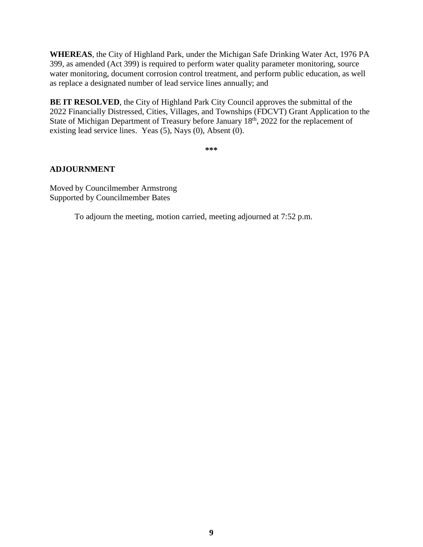**WHEREAS**, the City of Highland Park, under the Michigan Safe Drinking Water Act, 1976 PA 399, as amended (Act 399) is required to perform water quality parameter monitoring, source water monitoring, document corrosion control treatment, and perform public education, as well as replace a designated number of lead service lines annually; and

**BE IT RESOLVED**, the City of Highland Park City Council approves the submittal of the 2022 Financially Distressed, Cities, Villages, and Townships (FDCVT) Grant Application to the State of Michigan Department of Treasury before January 18<sup>th</sup>, 2022 for the replacement of existing lead service lines. Yeas (5), Nays (0), Absent (0).

**\*\*\***

## **ADJOURNMENT**

Moved by Councilmember Armstrong Supported by Councilmember Bates

To adjourn the meeting, motion carried, meeting adjourned at 7:52 p.m.